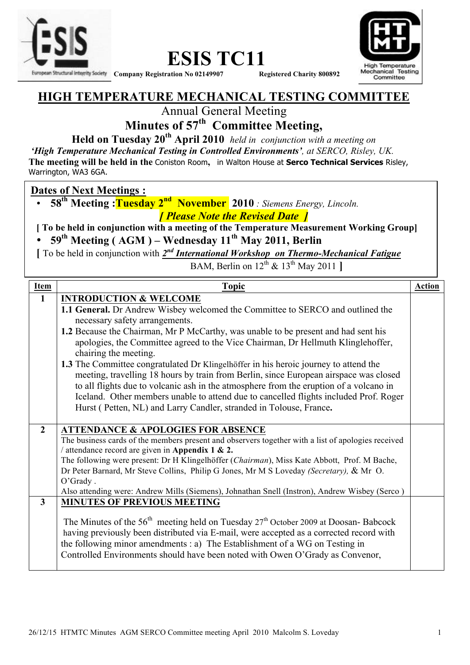



#### **HIGH TEMPERATURE MECHANICAL TESTING COMMITTEE**

Annual General Meeting

## **Minutes of 57th Committee Meeting,**

**Held on Tuesday 20th April 2010** *held in conjunction with a meeting on*

*'High Temperature Mechanical Testing in Controlled Environments', at SERCO, Risley, UK.* 

**The meeting will be held in the** Coniston Room**,** in Walton House at **Serco Technical Services** Risley, Warrington, WA3 6GA.

#### **Dates of Next Meetings :**

• **58th Meeting :Tuesday 2nd November 2010** *: Siemens Energy, Lincoln. [ Please Note the Revised Date ]*

**[ To be held in conjunction with a meeting of the Temperature Measurement Working Group]** 

• **59th Meeting ( AGM ) – Wednesday 11th May 2011, Berlin** 

**[** To be held in conjunction with *2nd International Workshop on Thermo-Mechanical Fatigue*

BAM, Berlin on  $12^{th}$  &  $13^{th}$  May 2011 **]** 

| <b>Item</b>    | <b>Topic</b>                                                                                       | <b>Action</b> |
|----------------|----------------------------------------------------------------------------------------------------|---------------|
| $\mathbf{1}$   | <b>INTRODUCTION &amp; WELCOME</b>                                                                  |               |
|                | 1.1 General. Dr Andrew Wisbey welcomed the Committee to SERCO and outlined the                     |               |
|                | necessary safety arrangements.                                                                     |               |
|                | 1.2 Because the Chairman, Mr P McCarthy, was unable to be present and had sent his                 |               |
|                | apologies, the Committee agreed to the Vice Chairman, Dr Hellmuth Klinglehoffer,                   |               |
|                | chairing the meeting.                                                                              |               |
|                | 1.3 The Committee congratulated Dr Klingelhöffer in his heroic journey to attend the               |               |
|                | meeting, travelling 18 hours by train from Berlin, since European airspace was closed              |               |
|                | to all flights due to volcanic ash in the atmosphere from the eruption of a volcano in             |               |
|                | Iceland. Other members unable to attend due to cancelled flights included Prof. Roger              |               |
|                | Hurst (Petten, NL) and Larry Candler, stranded in Tolouse, France.                                 |               |
|                |                                                                                                    |               |
| $\overline{2}$ | <b>ATTENDANCE &amp; APOLOGIES FOR ABSENCE</b>                                                      |               |
|                | The business cards of the members present and observers together with a list of apologies received |               |
|                | / attendance record are given in Appendix 1 & 2.                                                   |               |
|                | The following were present: Dr H Klingelhöffer (Chairman), Miss Kate Abbott, Prof. M Bache,        |               |
|                | Dr Peter Barnard, Mr Steve Collins, Philip G Jones, Mr M S Loveday (Secretary), & Mr O.            |               |
|                | O'Grady.                                                                                           |               |
|                | Also attending were: Andrew Mills (Siemens), Johnathan Snell (Instron), Andrew Wisbey (Serco)      |               |
| 3 <sup>1</sup> | <b>MINUTES OF PREVIOUS MEETING</b>                                                                 |               |
|                |                                                                                                    |               |
|                | The Minutes of the $56th$ meeting held on Tuesday 27 <sup>th</sup> October 2009 at Doosan-Babcock  |               |
|                | having previously been distributed via E-mail, were accepted as a corrected record with            |               |
|                | the following minor amendments : a) The Establishment of a WG on Testing in                        |               |
|                | Controlled Environments should have been noted with Owen O'Grady as Convenor,                      |               |
|                |                                                                                                    |               |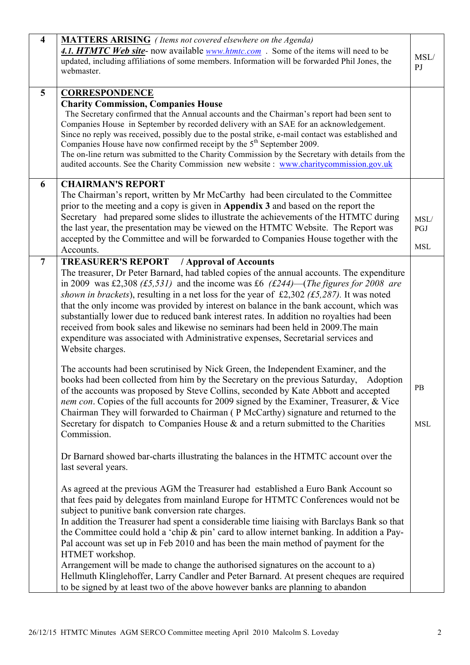| $\overline{\mathbf{4}}$ | <b>MATTERS ARISING</b> (Items not covered elsewhere on the Agenda)<br>4.1. HTMTC Web site- now available <u>www.htmtc.com</u> . Some of the items will need to be<br>updated, including affiliations of some members. Information will be forwarded Phil Jones, the<br>webmaster.                                                                                                                                                                                                                                                                                                                                                                                                                                                                                                                                               | MSL/<br>PJ                |
|-------------------------|---------------------------------------------------------------------------------------------------------------------------------------------------------------------------------------------------------------------------------------------------------------------------------------------------------------------------------------------------------------------------------------------------------------------------------------------------------------------------------------------------------------------------------------------------------------------------------------------------------------------------------------------------------------------------------------------------------------------------------------------------------------------------------------------------------------------------------|---------------------------|
| 5                       | <b>CORRESPONDENCE</b><br><b>Charity Commission, Companies House</b><br>The Secretary confirmed that the Annual accounts and the Chairman's report had been sent to<br>Companies House in September by recorded delivery with an SAE for an acknowledgement.<br>Since no reply was received, possibly due to the postal strike, e-mail contact was established and<br>Companies House have now confirmed receipt by the $5th$ September 2009.<br>The on-line return was submitted to the Charity Commission by the Secretary with details from the<br>audited accounts. See the Charity Commission new website : www.charitycommission.gov.uk                                                                                                                                                                                    |                           |
| 6                       | <b>CHAIRMAN'S REPORT</b><br>The Chairman's report, written by Mr McCarthy had been circulated to the Committee<br>prior to the meeting and a copy is given in Appendix 3 and based on the report the<br>Secretary had prepared some slides to illustrate the achievements of the HTMTC during<br>the last year, the presentation may be viewed on the HTMTC Website. The Report was<br>accepted by the Committee and will be forwarded to Companies House together with the<br>Accounts.                                                                                                                                                                                                                                                                                                                                        | MSL/<br>PGJ<br><b>MSL</b> |
| $\overline{7}$          | <b>TREASURER'S REPORT</b><br>/ Approval of Accounts<br>The treasurer, Dr Peter Barnard, had tabled copies of the annual accounts. The expenditure<br>in 2009 was £2,308 (£5,531) and the income was £6 (£244)—(The figures for 2008 are<br>shown in brackets), resulting in a net loss for the year of £2,302 (£5,287). It was noted<br>that the only income was provided by interest on balance in the bank account, which was<br>substantially lower due to reduced bank interest rates. In addition no royalties had been<br>received from book sales and likewise no seminars had been held in 2009. The main<br>expenditure was associated with Administrative expenses, Secretarial services and<br>Website charges.                                                                                                      |                           |
|                         | The accounts had been scrutinised by Nick Green, the Independent Examiner, and the<br>books had been collected from him by the Secretary on the previous Saturday,<br>Adoption<br>of the accounts was proposed by Steve Collins, seconded by Kate Abbott and accepted<br>nem con. Copies of the full accounts for 2009 signed by the Examiner, Treasurer, & Vice<br>Chairman They will forwarded to Chairman (P McCarthy) signature and returned to the<br>Secretary for dispatch to Companies House & and a return submitted to the Charities<br>Commission.<br>Dr Barnard showed bar-charts illustrating the balances in the HTMTC account over the                                                                                                                                                                           | <b>PB</b><br><b>MSL</b>   |
|                         | last several years.<br>As agreed at the previous AGM the Treasurer had established a Euro Bank Account so<br>that fees paid by delegates from mainland Europe for HTMTC Conferences would not be<br>subject to punitive bank conversion rate charges.<br>In addition the Treasurer had spent a considerable time liaising with Barclays Bank so that<br>the Committee could hold a 'chip & pin' card to allow internet banking. In addition a Pay-<br>Pal account was set up in Feb 2010 and has been the main method of payment for the<br>HTMET workshop.<br>Arrangement will be made to change the authorised signatures on the account to a)<br>Hellmuth Klinglehoffer, Larry Candler and Peter Barnard. At present cheques are required<br>to be signed by at least two of the above however banks are planning to abandon |                           |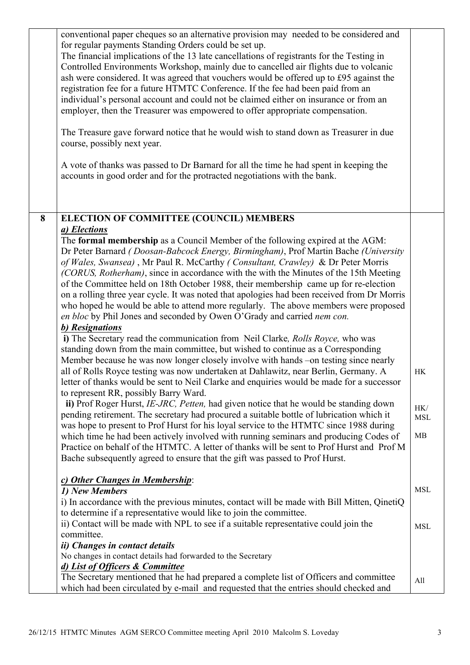|   | conventional paper cheques so an alternative provision may needed to be considered and<br>for regular payments Standing Orders could be set up.<br>The financial implications of the 13 late cancellations of registrants for the Testing in<br>Controlled Environments Workshop, mainly due to cancelled air flights due to volcanic<br>ash were considered. It was agreed that vouchers would be offered up to £95 against the<br>registration fee for a future HTMTC Conference. If the fee had been paid from an<br>individual's personal account and could not be claimed either on insurance or from an<br>employer, then the Treasurer was empowered to offer appropriate compensation.<br>The Treasure gave forward notice that he would wish to stand down as Treasurer in due<br>course, possibly next year.<br>A vote of thanks was passed to Dr Barnard for all the time he had spent in keeping the<br>accounts in good order and for the protracted negotiations with the bank. |                   |
|---|-----------------------------------------------------------------------------------------------------------------------------------------------------------------------------------------------------------------------------------------------------------------------------------------------------------------------------------------------------------------------------------------------------------------------------------------------------------------------------------------------------------------------------------------------------------------------------------------------------------------------------------------------------------------------------------------------------------------------------------------------------------------------------------------------------------------------------------------------------------------------------------------------------------------------------------------------------------------------------------------------|-------------------|
| 8 | ELECTION OF COMMITTEE (COUNCIL) MEMBERS                                                                                                                                                                                                                                                                                                                                                                                                                                                                                                                                                                                                                                                                                                                                                                                                                                                                                                                                                       |                   |
|   | a) Elections                                                                                                                                                                                                                                                                                                                                                                                                                                                                                                                                                                                                                                                                                                                                                                                                                                                                                                                                                                                  |                   |
|   | The formal membership as a Council Member of the following expired at the AGM:<br>Dr Peter Barnard (Doosan-Babcock Energy, Birmingham), Prof Martin Bache (University<br>of Wales, Swansea), Mr Paul R. McCarthy (Consultant, Crawley) & Dr Peter Morris<br>(CORUS, Rotherham), since in accordance with the with the Minutes of the 15th Meeting<br>of the Committee held on 18th October 1988, their membership came up for re-election<br>on a rolling three year cycle. It was noted that apologies had been received from Dr Morris<br>who hoped he would be able to attend more regularly. The above members were proposed<br>en bloc by Phil Jones and seconded by Owen O'Grady and carried nem con.<br>b) Resignations                                                                                                                                                                                                                                                                |                   |
|   | i) The Secretary read the communication from Neil Clarke, Rolls Royce, who was<br>standing down from the main committee, but wished to continue as a Corresponding                                                                                                                                                                                                                                                                                                                                                                                                                                                                                                                                                                                                                                                                                                                                                                                                                            |                   |
|   | Member because he was now longer closely involve with hands –on testing since nearly<br>all of Rolls Royce testing was now undertaken at Dahlawitz, near Berlin, Germany. A<br>letter of thanks would be sent to Neil Clarke and enquiries would be made for a successor<br>to represent RR, possibly Barry Ward.                                                                                                                                                                                                                                                                                                                                                                                                                                                                                                                                                                                                                                                                             | HK                |
|   | ii) Prof Roger Hurst, IE-JRC, Petten, had given notice that he would be standing down                                                                                                                                                                                                                                                                                                                                                                                                                                                                                                                                                                                                                                                                                                                                                                                                                                                                                                         |                   |
|   | pending retirement. The secretary had procured a suitable bottle of lubrication which it                                                                                                                                                                                                                                                                                                                                                                                                                                                                                                                                                                                                                                                                                                                                                                                                                                                                                                      | HK/<br><b>MSL</b> |
|   | was hope to present to Prof Hurst for his loyal service to the HTMTC since 1988 during<br>which time he had been actively involved with running seminars and producing Codes of<br>Practice on behalf of the HTMTC. A letter of thanks will be sent to Prof Hurst and Prof M<br>Bache subsequently agreed to ensure that the gift was passed to Prof Hurst.                                                                                                                                                                                                                                                                                                                                                                                                                                                                                                                                                                                                                                   | MB                |
|   | c) Other Changes in Membership:                                                                                                                                                                                                                                                                                                                                                                                                                                                                                                                                                                                                                                                                                                                                                                                                                                                                                                                                                               |                   |
|   | 1) New Members                                                                                                                                                                                                                                                                                                                                                                                                                                                                                                                                                                                                                                                                                                                                                                                                                                                                                                                                                                                | <b>MSL</b>        |
|   | i) In accordance with the previous minutes, contact will be made with Bill Mitten, QinetiQ                                                                                                                                                                                                                                                                                                                                                                                                                                                                                                                                                                                                                                                                                                                                                                                                                                                                                                    |                   |
|   | to determine if a representative would like to join the committee.<br>ii) Contact will be made with NPL to see if a suitable representative could join the<br>committee.                                                                                                                                                                                                                                                                                                                                                                                                                                                                                                                                                                                                                                                                                                                                                                                                                      | <b>MSL</b>        |
|   | <i>ii</i> ) Changes in contact details                                                                                                                                                                                                                                                                                                                                                                                                                                                                                                                                                                                                                                                                                                                                                                                                                                                                                                                                                        |                   |
|   | No changes in contact details had forwarded to the Secretary                                                                                                                                                                                                                                                                                                                                                                                                                                                                                                                                                                                                                                                                                                                                                                                                                                                                                                                                  |                   |
|   | d) List of Officers & Committee<br>The Secretary mentioned that he had prepared a complete list of Officers and committee<br>which had been circulated by e-mail and requested that the entries should checked and                                                                                                                                                                                                                                                                                                                                                                                                                                                                                                                                                                                                                                                                                                                                                                            | All               |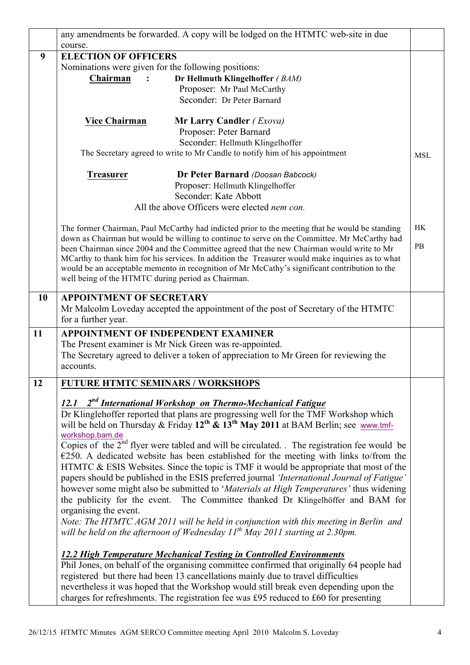|           | any amendments be forwarded. A copy will be lodged on the HTMTC web-site in due       |                                                                                                                                                                                                                                                                                                                                                                                                                                                                                                                                                                                                                                                       |            |  |  |  |  |
|-----------|---------------------------------------------------------------------------------------|-------------------------------------------------------------------------------------------------------------------------------------------------------------------------------------------------------------------------------------------------------------------------------------------------------------------------------------------------------------------------------------------------------------------------------------------------------------------------------------------------------------------------------------------------------------------------------------------------------------------------------------------------------|------------|--|--|--|--|
|           | course.                                                                               |                                                                                                                                                                                                                                                                                                                                                                                                                                                                                                                                                                                                                                                       |            |  |  |  |  |
| 9         | <b>ELECTION OF OFFICERS</b>                                                           |                                                                                                                                                                                                                                                                                                                                                                                                                                                                                                                                                                                                                                                       |            |  |  |  |  |
|           | Nominations were given for the following positions:                                   |                                                                                                                                                                                                                                                                                                                                                                                                                                                                                                                                                                                                                                                       |            |  |  |  |  |
|           | Chairman                                                                              | Dr Hellmuth Klingelhoffer (BAM)                                                                                                                                                                                                                                                                                                                                                                                                                                                                                                                                                                                                                       |            |  |  |  |  |
|           |                                                                                       | Proposer: Mr Paul McCarthy                                                                                                                                                                                                                                                                                                                                                                                                                                                                                                                                                                                                                            |            |  |  |  |  |
|           |                                                                                       | Seconder: Dr Peter Barnard                                                                                                                                                                                                                                                                                                                                                                                                                                                                                                                                                                                                                            |            |  |  |  |  |
|           | <b>Vice Chairman</b>                                                                  | <b>Mr Larry Candler</b> <i>(Exova)</i><br>Proposer: Peter Barnard                                                                                                                                                                                                                                                                                                                                                                                                                                                                                                                                                                                     |            |  |  |  |  |
|           |                                                                                       | Seconder: Hellmuth Klingelhoffer                                                                                                                                                                                                                                                                                                                                                                                                                                                                                                                                                                                                                      |            |  |  |  |  |
|           |                                                                                       | The Secretary agreed to write to Mr Candle to notify him of his appointment                                                                                                                                                                                                                                                                                                                                                                                                                                                                                                                                                                           | <b>MSL</b> |  |  |  |  |
|           | <b>Treasurer</b>                                                                      | Dr Peter Barnard (Doosan Babcock)                                                                                                                                                                                                                                                                                                                                                                                                                                                                                                                                                                                                                     |            |  |  |  |  |
|           |                                                                                       | Proposer: Hellmuth Klingelhoffer                                                                                                                                                                                                                                                                                                                                                                                                                                                                                                                                                                                                                      |            |  |  |  |  |
|           |                                                                                       | Seconder: Kate Abbott                                                                                                                                                                                                                                                                                                                                                                                                                                                                                                                                                                                                                                 |            |  |  |  |  |
|           |                                                                                       | All the above Officers were elected nem con.                                                                                                                                                                                                                                                                                                                                                                                                                                                                                                                                                                                                          |            |  |  |  |  |
|           |                                                                                       | The former Chairman, Paul McCarthy had indicted prior to the meeting that he would be standing<br>down as Chairman but would be willing to continue to serve on the Committee. Mr McCarthy had<br>been Chairman since 2004 and the Committee agreed that the new Chairman would write to Mr                                                                                                                                                                                                                                                                                                                                                           | HK<br>PB   |  |  |  |  |
|           | well being of the HTMTC during period as Chairman.                                    | MCarthy to thank him for his services. In addition the Treasurer would make inquiries as to what<br>would be an acceptable memento in recognition of Mr McCathy's significant contribution to the                                                                                                                                                                                                                                                                                                                                                                                                                                                     |            |  |  |  |  |
| <b>10</b> | <b>APPOINTMENT OF SECRETARY</b><br>for a further year.                                | Mr Malcolm Loveday accepted the appointment of the post of Secretary of the HTMTC                                                                                                                                                                                                                                                                                                                                                                                                                                                                                                                                                                     |            |  |  |  |  |
| 11        |                                                                                       | <b>APPOINTMENT OF INDEPENDENT EXAMINER</b>                                                                                                                                                                                                                                                                                                                                                                                                                                                                                                                                                                                                            |            |  |  |  |  |
|           | The Present examiner is Mr Nick Green was re-appointed.                               |                                                                                                                                                                                                                                                                                                                                                                                                                                                                                                                                                                                                                                                       |            |  |  |  |  |
|           | The Secretary agreed to deliver a token of appreciation to Mr Green for reviewing the |                                                                                                                                                                                                                                                                                                                                                                                                                                                                                                                                                                                                                                                       |            |  |  |  |  |
|           | accounts.                                                                             |                                                                                                                                                                                                                                                                                                                                                                                                                                                                                                                                                                                                                                                       |            |  |  |  |  |
| 12        | <b>FUTURE HTMTC SEMINARS / WORKSHOPS</b>                                              |                                                                                                                                                                                                                                                                                                                                                                                                                                                                                                                                                                                                                                                       |            |  |  |  |  |
|           | 12.1<br>workshop.bam.de                                                               | $2nd$ International Workshop on Thermo-Mechanical Fatigue<br>Dr Klinglehoffer reported that plans are progressing well for the TMF Workshop which<br>will be held on Thursday & Friday $12^{th}$ & $13^{th}$ May 2011 at BAM Berlin; see www.tmf-                                                                                                                                                                                                                                                                                                                                                                                                     |            |  |  |  |  |
|           | organising the event.                                                                 | Copies of the $2nd$ flyer were tabled and will be circulated. The registration fee would be<br>$E250$ . A dedicated website has been established for the meeting with links to/from the<br>HTMTC & ESIS Websites. Since the topic is TMF it would be appropriate that most of the<br>papers should be published in the ESIS preferred journal 'International Journal of Fatigue'<br>however some might also be submitted to 'Materials at High Temperatures' thus widening<br>the publicity for the event. The Committee thanked Dr Klingelhöffer and BAM for<br>Note: The HTMTC AGM 2011 will be held in conjunction with this meeting in Berlin and |            |  |  |  |  |
|           |                                                                                       | will be held on the afternoon of Wednesday $11^{th}$ May 2011 starting at 2.30pm.<br><b>12.2 High Temperature Mechanical Testing in Controlled Environments</b>                                                                                                                                                                                                                                                                                                                                                                                                                                                                                       |            |  |  |  |  |
|           |                                                                                       | Phil Jones, on behalf of the organising committee confirmed that originally 64 people had<br>registered but there had been 13 cancellations mainly due to travel difficulties<br>nevertheless it was hoped that the Workshop would still break even depending upon the<br>charges for refreshments. The registration fee was £95 reduced to £60 for presenting                                                                                                                                                                                                                                                                                        |            |  |  |  |  |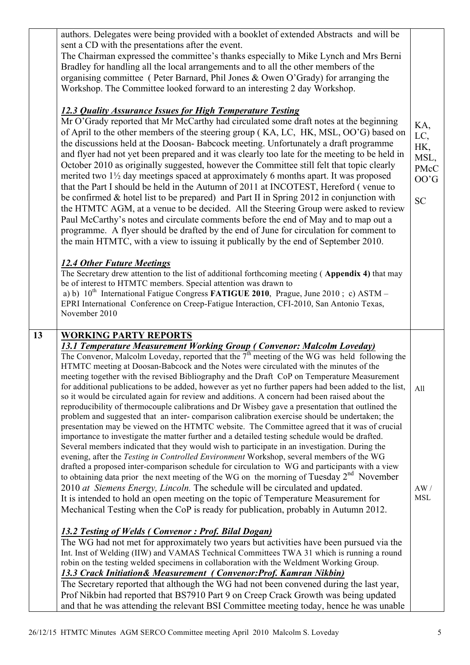|    | authors. Delegates were being provided with a booklet of extended Abstracts and will be<br>sent a CD with the presentations after the event.<br>The Chairman expressed the committee's thanks especially to Mike Lynch and Mrs Berni<br>Bradley for handling all the local arrangements and to all the other members of the<br>organising committee (Peter Barnard, Phil Jones & Owen O'Grady) for arranging the<br>Workshop. The Committee looked forward to an interesting 2 day Workshop.<br><b>12.3 Quality Assurance Issues for High Temperature Testing</b><br>Mr O'Grady reported that Mr McCarthy had circulated some draft notes at the beginning<br>of April to the other members of the steering group (KA, LC, HK, MSL, OO'G) based on<br>the discussions held at the Doosan-Babcock meeting. Unfortunately a draft programme<br>and flyer had not yet been prepared and it was clearly too late for the meeting to be held in<br>October 2010 as originally suggested, however the Committee still felt that topic clearly<br>merited two 1 <sup>1</sup> / <sub>2</sub> day meetings spaced at approximately 6 months apart. It was proposed<br>that the Part I should be held in the Autumn of 2011 at INCOTEST, Hereford (venue to<br>be confirmed $&$ hotel list to be prepared) and Part II in Spring 2012 in conjunction with<br>the HTMTC AGM, at a venue to be decided. All the Steering Group were asked to review<br>Paul McCarthy's notes and circulate comments before the end of May and to map out a<br>programme. A flyer should be drafted by the end of June for circulation for comment to<br>the main HTMTC, with a view to issuing it publically by the end of September 2010.<br><b>12.4 Other Future Meetings</b><br>The Secretary drew attention to the list of additional forthcoming meeting (Appendix 4) that may<br>be of interest to HTMTC members. Special attention was drawn to<br>a) b) $10^{th}$ International Fatigue Congress FATIGUE 2010, Prague, June 2010; c) ASTM –<br>EPRI International Conference on Creep-Fatigue Interaction, CFI-2010, San Antonio Texas,<br>November 2010 | KA,<br>LC,<br>HK,<br>MSL,<br><b>PMcC</b><br>OO'G<br><b>SC</b> |
|----|--------------------------------------------------------------------------------------------------------------------------------------------------------------------------------------------------------------------------------------------------------------------------------------------------------------------------------------------------------------------------------------------------------------------------------------------------------------------------------------------------------------------------------------------------------------------------------------------------------------------------------------------------------------------------------------------------------------------------------------------------------------------------------------------------------------------------------------------------------------------------------------------------------------------------------------------------------------------------------------------------------------------------------------------------------------------------------------------------------------------------------------------------------------------------------------------------------------------------------------------------------------------------------------------------------------------------------------------------------------------------------------------------------------------------------------------------------------------------------------------------------------------------------------------------------------------------------------------------------------------------------------------------------------------------------------------------------------------------------------------------------------------------------------------------------------------------------------------------------------------------------------------------------------------------------------------------------------------------------------------------------------------------------------------------------------------------------------------------------------------------------------|---------------------------------------------------------------|
| 13 | <b>WORKING PARTY REPORTS</b><br><b>13.1 Temperature Measurement Working Group (Convenor: Malcolm Loveday)</b><br>The Convenor, Malcolm Loveday, reported that the $7th$ meeting of the WG was held following the<br>HTMTC meeting at Doosan-Babcock and the Notes were circulated with the minutes of the<br>meeting together with the revised Bibliography and the Draft CoP on Temperature Measurement<br>for additional publications to be added, however as yet no further papers had been added to the list,<br>so it would be circulated again for review and additions. A concern had been raised about the<br>reproducibility of thermocouple calibrations and Dr Wisbey gave a presentation that outlined the<br>problem and suggested that an inter-comparison calibration exercise should be undertaken; the<br>presentation may be viewed on the HTMTC website. The Committee agreed that it was of crucial<br>importance to investigate the matter further and a detailed testing schedule would be drafted.<br>Several members indicated that they would wish to participate in an investigation. During the<br>evening, after the Testing in Controlled Environment Workshop, several members of the WG<br>drafted a proposed inter-comparison schedule for circulation to WG and participants with a view<br>to obtaining data prior the next meeting of the WG on the morning of Tuesday $2^{nd}$ November<br>2010 at Siemens Energy, Lincoln. The schedule will be circulated and updated.<br>It is intended to hold an open meeting on the topic of Temperature Measurement for<br>Mechanical Testing when the CoP is ready for publication, probably in Autumn 2012.                                                                                                                                                                                                                                                                                                                                                                                                                                             | All<br>AW/<br><b>MSL</b>                                      |
|    | <b>13.2 Testing of Welds (Convenor: Prof. Bilal Dogan)</b><br>The WG had not met for approximately two years but activities have been pursued via the<br>Int. Inst of Welding (IIW) and VAMAS Technical Committees TWA 31 which is running a round<br>robin on the testing welded specimens in collaboration with the Weldment Working Group.<br><b>13.3 Crack Initiation &amp; Measurement (Convenor: Prof. Kamran Nikbin)</b><br>The Secretary reported that although the WG had not been convened during the last year,<br>Prof Nikbin had reported that BS7910 Part 9 on Creep Crack Growth was being updated<br>and that he was attending the relevant BSI Committee meeting today, hence he was unable                                                                                                                                                                                                                                                                                                                                                                                                                                                                                                                                                                                                                                                                                                                                                                                                                                                                                                                                                                                                                                                                                                                                                                                                                                                                                                                                                                                                                         |                                                               |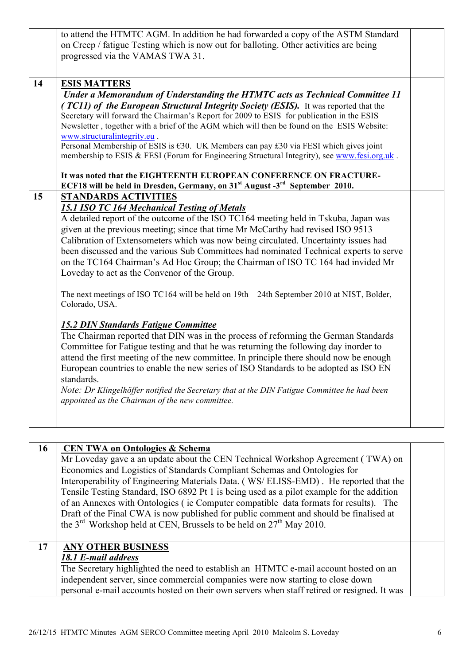|    | to attend the HTMTC AGM. In addition he had forwarded a copy of the ASTM Standard<br>on Creep / fatigue Testing which is now out for balloting. Other activities are being<br>progressed via the VAMAS TWA 31.                                                                                                                                                                                                                                                                                                                                                                                                                                                                                                                                                                                          |  |
|----|---------------------------------------------------------------------------------------------------------------------------------------------------------------------------------------------------------------------------------------------------------------------------------------------------------------------------------------------------------------------------------------------------------------------------------------------------------------------------------------------------------------------------------------------------------------------------------------------------------------------------------------------------------------------------------------------------------------------------------------------------------------------------------------------------------|--|
| 14 | <b>ESIS MATTERS</b><br>Under a Memorandum of Understanding the HTMTC acts as Technical Committee 11<br>(TC11) of the European Structural Integrity Society (ESIS). It was reported that the<br>Secretary will forward the Chairman's Report for 2009 to ESIS for publication in the ESIS<br>Newsletter, together with a brief of the AGM which will then be found on the ESIS Website:<br>www.structuralintegrity.eu.<br>Personal Membership of ESIS is $630$ . UK Members can pay £30 via FESI which gives joint<br>membership to ESIS & FESI (Forum for Engineering Structural Integrity), see www.fesi.org.uk.<br>It was noted that the EIGHTEENTH EUROPEAN CONFERENCE ON FRACTURE-                                                                                                                  |  |
| 15 | ECF18 will be held in Dresden, Germany, on 31 <sup>st</sup> August -3 <sup>rd</sup> September 2010.<br><b>STANDARDS ACTIVITIES</b><br><b>15.1 ISO TC 164 Mechanical Testing of Metals</b><br>A detailed report of the outcome of the ISO TC164 meeting held in Tskuba, Japan was<br>given at the previous meeting; since that time Mr McCarthy had revised ISO 9513<br>Calibration of Extensometers which was now being circulated. Uncertainty issues had<br>been discussed and the various Sub Committees had nominated Technical experts to serve<br>on the TC164 Chairman's Ad Hoc Group; the Chairman of ISO TC 164 had invided Mr<br>Loveday to act as the Convenor of the Group.<br>The next meetings of ISO TC164 will be held on 19th – 24th September 2010 at NIST, Bolder,<br>Colorado, USA. |  |
|    | <b>15.2 DIN Standards Fatigue Committee</b><br>The Chairman reported that DIN was in the process of reforming the German Standards<br>Committee for Fatigue testing and that he was returning the following day inorder to<br>attend the first meeting of the new committee. In principle there should now be enough<br>European countries to enable the new series of ISO Standards to be adopted as ISO EN<br>standards.<br>Note: Dr Klingelhöffer notified the Secretary that at the DIN Fatigue Committee he had been<br>appointed as the Chairman of the new committee.                                                                                                                                                                                                                            |  |

| 16      | <b>CEN TWA on Ontologies &amp; Schema</b>                                                   |  |
|---------|---------------------------------------------------------------------------------------------|--|
|         | Mr Loveday gave a an update about the CEN Technical Workshop Agreement (TWA) on             |  |
|         | Economics and Logistics of Standards Compliant Schemas and Ontologies for                   |  |
|         | Interoperability of Engineering Materials Data. (WS/ELISS-EMD). He reported that the        |  |
|         | Tensile Testing Standard, ISO 6892 Pt 1 is being used as a pilot example for the addition   |  |
|         | of an Annexes with Ontologies (ie Computer compatible data formats for results). The        |  |
|         | Draft of the Final CWA is now published for public comment and should be finalised at       |  |
|         | the $3^{\text{rd}}$ Workshop held at CEN, Brussels to be held on $27^{\text{th}}$ May 2010. |  |
|         |                                                                                             |  |
| $17 \,$ | <b>ANY OTHER BUSINESS</b>                                                                   |  |
|         | 18.1 E-mail address                                                                         |  |
|         | The Secretary highlighted the need to establish an HTMTC e-mail account hosted on an        |  |
|         | independent server, since commercial companies were now starting to close down              |  |
|         | personal e-mail accounts hosted on their own servers when staff retired or resigned. It was |  |
|         |                                                                                             |  |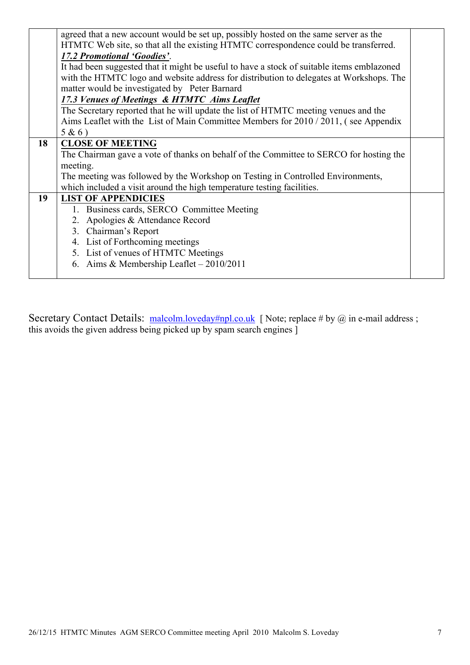|    | agreed that a new account would be set up, possibly hosted on the same server as the       |  |
|----|--------------------------------------------------------------------------------------------|--|
|    | HTMTC Web site, so that all the existing HTMTC correspondence could be transferred.        |  |
|    | 17.2 Promotional 'Goodies'.                                                                |  |
|    | It had been suggested that it might be useful to have a stock of suitable items emblazoned |  |
|    | with the HTMTC logo and website address for distribution to delegates at Workshops. The    |  |
|    | matter would be investigated by Peter Barnard                                              |  |
|    | 17.3 Venues of Meetings & HTMTC Aims Leaflet                                               |  |
|    | The Secretary reported that he will update the list of HTMTC meeting venues and the        |  |
|    | Aims Leaflet with the List of Main Committee Members for 2010 / 2011, (see Appendix        |  |
|    | $5 & 6$ )                                                                                  |  |
| 18 | <b>CLOSE OF MEETING</b>                                                                    |  |
|    | The Chairman gave a vote of thanks on behalf of the Committee to SERCO for hosting the     |  |
|    | meeting.                                                                                   |  |
|    | The meeting was followed by the Workshop on Testing in Controlled Environments,            |  |
|    | which included a visit around the high temperature testing facilities.                     |  |
| 19 | <b>LIST OF APPENDICIES</b>                                                                 |  |
|    | 1. Business cards, SERCO Committee Meeting                                                 |  |
|    | 2. Apologies & Attendance Record                                                           |  |
|    | 3. Chairman's Report                                                                       |  |
|    | 4. List of Forthcoming meetings                                                            |  |
|    | 5. List of venues of HTMTC Meetings                                                        |  |
|    | 6. Aims & Membership Leaflet - 2010/2011                                                   |  |
|    |                                                                                            |  |

Secretary Contact Details: malcolm.loveday#npl.co.uk [ Note; replace # by @ in e-mail address ; this avoids the given address being picked up by spam search engines ]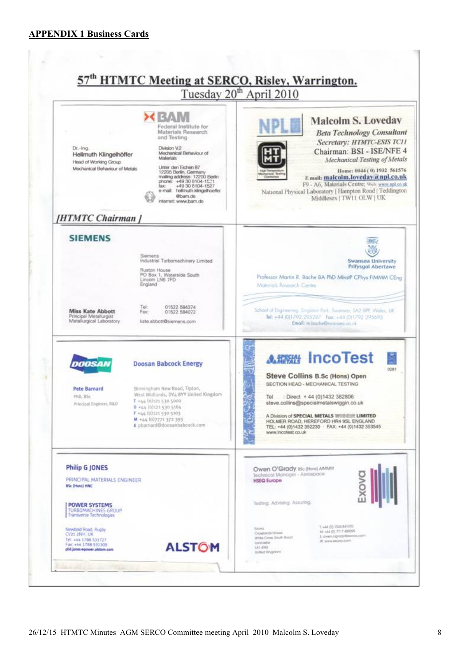#### **APPENDIX 1 Business Cards**

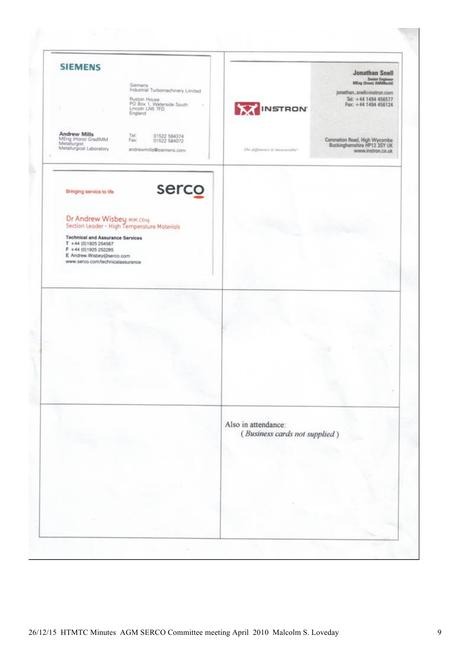| Siemens<br>Industrial Turbornachinery Limited<br>Ruston House<br>PO Box 1, Weterside South<br>Lincoln LNB 7FD<br>England                                                                                                                                                       | <b>Jonathan Snell</b><br>Senior Engineer<br>MEng (Oxon) AMIMechE<br>jonathan_snell@instron.com<br>Tel: +44 1494 456577<br>Fax: +44 1494 456124<br><b>WINSTRON</b> |
|--------------------------------------------------------------------------------------------------------------------------------------------------------------------------------------------------------------------------------------------------------------------------------|-------------------------------------------------------------------------------------------------------------------------------------------------------------------|
| Andrew Mills<br>MEng (Hons) GradiMM<br>Metallurgist<br>Tel:<br>01522 584374<br>01522 584072<br>Fax:<br>Metallurgical Laboratory<br>andrewmills@siemens.com                                                                                                                     | Coronation Road, High Wycombe<br>Buckinghamshire HP12 3SY UK<br>The authermy is movimable.<br>www.instron.co.uk                                                   |
| serco<br>Bringing service to fife<br>Dr Andrew Wisbey MIM, CEnq<br>Section Leader - High Temperature Materials<br><b>Technical and Assurance Services</b><br>$T + 44 (0)19252554567$<br>F +44 (0) 1925 252285<br>E Andrew.Wisbey@serco.com<br>www.serco.com/technicalassurance |                                                                                                                                                                   |
|                                                                                                                                                                                                                                                                                |                                                                                                                                                                   |
|                                                                                                                                                                                                                                                                                |                                                                                                                                                                   |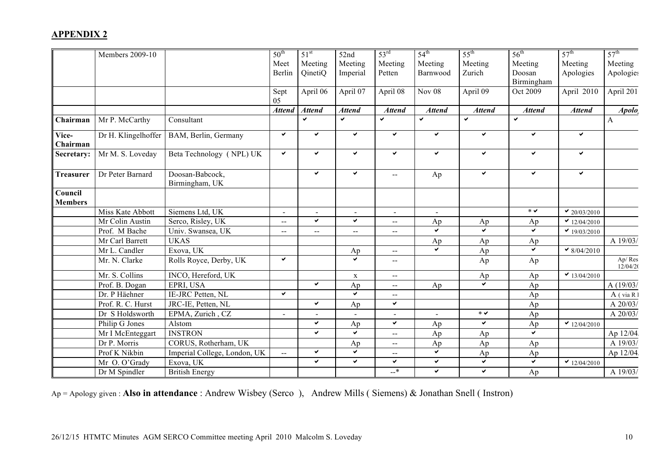#### **APPENDIX 2**

|                  | Members 2009-10     |                                   | $50^{\text{th}}$ | 51 <sup>st</sup> | 52nd                    | 53 <sup>rd</sup>                              | $54^{\text{th}}$           | $55^{\text{th}}$    | $56^{\text{th}}$    | 57 <sup>th</sup>  | 57 <sup>th</sup>   |
|------------------|---------------------|-----------------------------------|------------------|------------------|-------------------------|-----------------------------------------------|----------------------------|---------------------|---------------------|-------------------|--------------------|
|                  |                     |                                   | Meet             | Meeting          | Meeting                 | Meeting                                       | Meeting                    | Meeting             | Meeting             | Meeting           | Meeting            |
|                  |                     |                                   | Berlin           | QinetiQ          | Imperial                | Petten                                        | Barnwood                   | Zurich              | Doosan              | Apologies         | Apologies          |
|                  |                     |                                   |                  |                  |                         |                                               |                            |                     | Birmingham          |                   |                    |
|                  |                     |                                   | Sept             | April 06         | April 07                | April 08                                      | $\overline{\text{Nov}}$ 08 | April 09            | Oct 2009            | April 2010        | April 201          |
|                  |                     |                                   | 05               |                  |                         |                                               |                            |                     |                     |                   |                    |
|                  |                     |                                   | <b>Attend</b>    | <b>Attend</b>    | <b>Attend</b>           | <b>Attend</b>                                 | <b>Attend</b>              | <b>Attend</b>       | <b>Attend</b>       | <b>Attend</b>     | Apolo <sub>s</sub> |
| Chairman         | Mr P. McCarthy      | Consultant                        |                  | ✔                | $\checkmark$            | $\checkmark$                                  | $\checkmark$               | $\checkmark$        | $\checkmark$        |                   | $\mathbf{A}$       |
| Vice-            | Dr H. Klingelhoffer | BAM, Berlin, Germany              | $\checkmark$     | $\checkmark$     | $\checkmark$            | $\checkmark$                                  | $\checkmark$               | $\checkmark$        | $\checkmark$        | $\checkmark$      |                    |
| Chairman         |                     |                                   |                  |                  |                         |                                               |                            |                     |                     |                   |                    |
| Secretary:       | Mr M. S. Loveday    | Beta Technology (NPL) UK          | $\checkmark$     | ✓                | $\checkmark$            | $\checkmark$                                  | $\checkmark$               | $\checkmark$        | $\checkmark$        | $\checkmark$      |                    |
|                  |                     |                                   |                  | $\checkmark$     |                         |                                               |                            | $\checkmark$        | $\checkmark$        | $\checkmark$      |                    |
| <b>Treasurer</b> | Dr Peter Barnard    | Doosan-Babcock,<br>Birmingham, UK |                  |                  | $\checkmark$            | $\mathord{\hspace{1pt}\text{--}\hspace{1pt}}$ | Ap                         |                     |                     |                   |                    |
| Council          |                     |                                   |                  |                  |                         |                                               |                            |                     |                     |                   |                    |
| <b>Members</b>   |                     |                                   |                  |                  |                         |                                               |                            |                     |                     |                   |                    |
|                  | Miss Kate Abbott    | Siemens Ltd, UK                   |                  |                  |                         | $\overline{\phantom{a}}$                      |                            |                     | $\ast$ $\checkmark$ | $\vee$ 20/03/2010 |                    |
|                  | Mr Colin Austin     | Serco, Risley, UK                 | $\mathbf{u}$     | $\checkmark$     | $\checkmark$            | $\mathcal{L}_{\mathcal{F}}$                   | Ap                         | Ap                  | Ap                  | $\vee$ 12/04/2010 |                    |
|                  | Prof. M Bache       | Univ. Swansea, UK                 | $\sim$ $\sim$    | ш.               | $\overline{a}$          | $\mathbf{u}$                                  | $\checkmark$               | $\checkmark$        | $\checkmark$        | $\vee$ 19/03/2010 |                    |
|                  | Mr Carl Barrett     | <b>UKAS</b>                       |                  |                  |                         |                                               | Ap                         | Ap                  | Ap                  |                   | A 19/03/           |
|                  | Mr L. Candler       | Exova, UK                         |                  |                  | Ap                      | $\mathbf{u}$                                  | $\checkmark$               | Ap                  | $\checkmark$        | $\vee$ 8/04/2010  |                    |
|                  | Mr. N. Clarke       | Rolls Royce, Derby, UK            | $\checkmark$     |                  | $\overline{\mathbf{v}}$ | $\mathord{\hspace{1pt}\text{--}\hspace{1pt}}$ |                            | Ap                  | Ap                  |                   | Ap/Res<br>12/04/20 |
|                  | Mr. S. Collins      | INCO, Hereford, UK                |                  |                  | $\mathbf X$             | $\mathbf{u}$                                  |                            | Ap                  | Ap                  | $\vee$ 13/04/2010 |                    |
|                  | Prof. B. Dogan      | EPRI, USA                         |                  | ✔                | Ap                      | $\overline{\phantom{m}}$                      | Ap                         | $\checkmark$        | Ap                  |                   | A $(19/03/$        |
|                  | Dr. P Häehner       | IE-JRC Petten, NL                 | $\checkmark$     |                  | Ý.                      | $\overline{\phantom{a}}$                      |                            |                     | Ap                  |                   | $A$ (via R 1       |
|                  | Prof. R. C. Hurst   | JRC-IE, Petten, NL                |                  | ✓                | Ap                      | $\checkmark$                                  |                            |                     | Ap                  |                   | A $20/03/$         |
|                  | Dr S Holdsworth     | EPMA, Zurich, CZ                  | $\blacksquare$   | $\sim$           | $\blacksquare$          | $\blacksquare$                                | $\blacksquare$             | $\ast$ $\checkmark$ | Ap                  |                   | A $20/03/$         |
|                  | Philip G Jones      | Alstom                            |                  | ✓                | Ap                      | $\checkmark$                                  | Ap                         | $\checkmark$        | Ap                  | $\vee$ 12/04/2010 |                    |
|                  | Mr I McEnteggart    | <b>INSTRON</b>                    |                  | ✓                | V                       | $\mathord{\hspace{1pt}\text{--}\hspace{1pt}}$ | Ap                         | Ap                  | $\checkmark$        |                   | Ap 12/04           |
|                  | Dr P. Morris        | CORUS, Rotherham, UK              |                  |                  | Ap                      | $\mathcal{L}_{\mathcal{F}}$                   | Ap                         | Ap                  | Ap                  |                   | A 19/03/           |
|                  | Prof K Nikbin       | Imperial College, London, UK      | $\mathbf{u}$     | ✓                | $\checkmark$            | $\mathord{\hspace{1pt}\text{--}\hspace{1pt}}$ | $\checkmark$               | Ap                  | Ap                  |                   | Ap 12/04           |
|                  | Mr O. O'Grady       | Exova, UK                         |                  | ✓                | $\checkmark$            | $\checkmark$                                  | $\checkmark$               | $\checkmark$        | $\checkmark$        | $\vee$ 12/04/2010 |                    |
|                  | Dr M Spindler       | <b>British Energy</b>             |                  |                  |                         | $-$ *                                         | $\checkmark$               | $\checkmark$        | Ap                  |                   | A $19/03/$         |

Ap = Apology given : **Also in attendance** : Andrew Wisbey (Serco ), Andrew Mills ( Siemens) & Jonathan Snell ( Instron)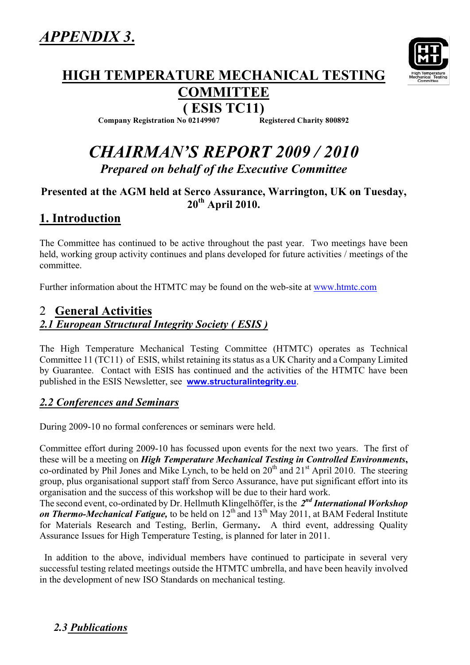

# **HIGH TEMPERATURE MECHANICAL TESTING**

# **COMMITTEE**

**( ESIS TC11) Company Registration No 02149907** 

# *CHAIRMAN'S REPORT 2009 / 2010 Prepared on behalf of the Executive Committee*

#### **Presented at the AGM held at Serco Assurance, Warrington, UK on Tuesday, 20th April 2010.**

## **1. Introduction**

The Committee has continued to be active throughout the past year. Two meetings have been held, working group activity continues and plans developed for future activities / meetings of the committee.

Further information about the HTMTC may be found on the web-site at www.htmtc.com

#### 2 **General Activities** *2.1 European Structural Integrity Society ( ESIS )*

The High Temperature Mechanical Testing Committee (HTMTC) operates as Technical Committee 11 (TC11) of ESIS, whilst retaining its status as a UK Charity and a Company Limited by Guarantee. Contact with ESIS has continued and the activities of the HTMTC have been published in the ESIS Newsletter, see **www.structuralintegrity.eu**.

#### *2.2 Conferences and Seminars*

During 2009-10 no formal conferences or seminars were held.

Committee effort during 2009-10 has focussed upon events for the next two years. The first of these will be a meeting on *High Temperature Mechanical Testing in Controlled Environments***,** co-ordinated by Phil Jones and Mike Lynch, to be held on  $20<sup>th</sup>$  and  $21<sup>st</sup>$  April 2010. The steering group, plus organisational support staff from Serco Assurance, have put significant effort into its organisation and the success of this workshop will be due to their hard work.

The second event, co-ordinated by Dr. Hellmuth Klingelhöffer, is the *2nd International Workshop*  **on Thermo-Mechanical Fatigue,** to be held on 12<sup>th</sup> and 13<sup>th</sup> May 2011, at BAM Federal Institute for Materials Research and Testing, Berlin, Germany**.** A third event, addressing Quality Assurance Issues for High Temperature Testing, is planned for later in 2011.

 In addition to the above, individual members have continued to participate in several very successful testing related meetings outside the HTMTC umbrella, and have been heavily involved in the development of new ISO Standards on mechanical testing.

#### *2.3 Publications*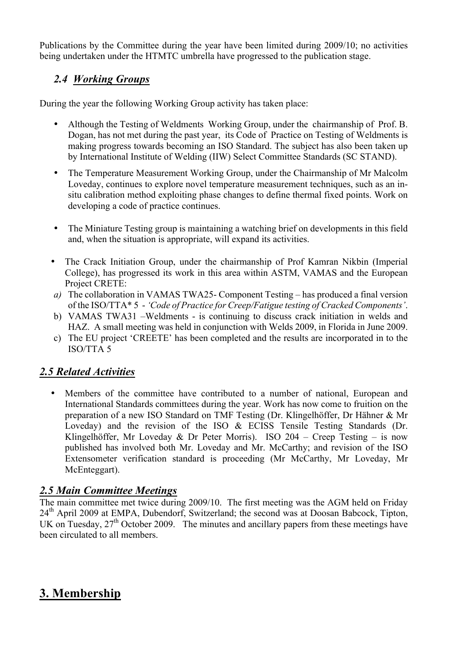Publications by the Committee during the year have been limited during 2009/10; no activities being undertaken under the HTMTC umbrella have progressed to the publication stage.

#### *2.4 Working Groups*

During the year the following Working Group activity has taken place:

- Although the Testing of Weldments Working Group, under the chairmanship of Prof. B. Dogan, has not met during the past year, its Code of Practice on Testing of Weldments is making progress towards becoming an ISO Standard. The subject has also been taken up by International Institute of Welding (IIW) Select Committee Standards (SC STAND).
- The Temperature Measurement Working Group, under the Chairmanship of Mr Malcolm Loveday, continues to explore novel temperature measurement techniques, such as an insitu calibration method exploiting phase changes to define thermal fixed points. Work on developing a code of practice continues.
- The Miniature Testing group is maintaining a watching brief on developments in this field and, when the situation is appropriate, will expand its activities.
- The Crack Initiation Group, under the chairmanship of Prof Kamran Nikbin (Imperial College), has progressed its work in this area within ASTM, VAMAS and the European Project CRETE:
- *a)* The collaboration in VAMAS TWA25- Component Testing has produced a final version of the ISO/TTA\* 5 - *'Code of Practice for Creep/Fatigue testing of Cracked Components'*.
- b) VAMAS TWA31 –Weldments is continuing to discuss crack initiation in welds and HAZ. A small meeting was held in conjunction with Welds 2009, in Florida in June 2009.
- c) The EU project 'CREETE' has been completed and the results are incorporated in to the ISO/TTA 5

#### *2.5 Related Activities*

• Members of the committee have contributed to a number of national, European and International Standards committees during the year. Work has now come to fruition on the preparation of a new ISO Standard on TMF Testing (Dr. Klingelhöffer, Dr Hähner & Mr Loveday) and the revision of the ISO & ECISS Tensile Testing Standards (Dr. Klingelhöffer, Mr Loveday & Dr Peter Morris). ISO 204 – Creep Testing – is now published has involved both Mr. Loveday and Mr. McCarthy; and revision of the ISO Extensometer verification standard is proceeding (Mr McCarthy, Mr Loveday, Mr McEnteggart).

#### *2.5 Main Committee Meetings*

The main committee met twice during 2009/10. The first meeting was the AGM held on Friday 24<sup>th</sup> April 2009 at EMPA, Dubendorf, Switzerland; the second was at Doosan Babcock, Tipton, UK on Tuesday,  $27<sup>th</sup>$  October 2009. The minutes and ancillary papers from these meetings have been circulated to all members.

## **3. Membership**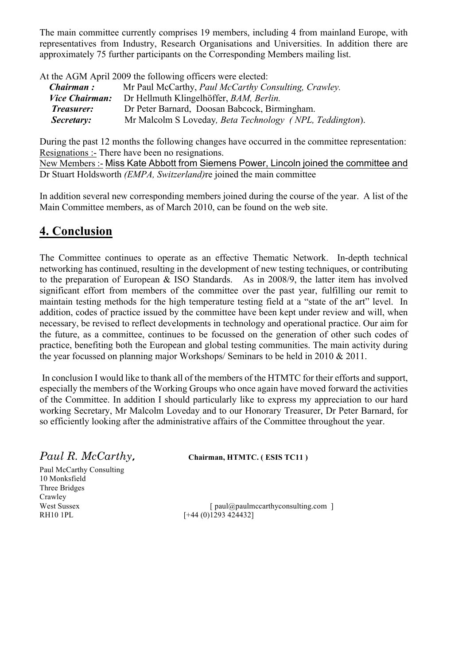The main committee currently comprises 19 members, including 4 from mainland Europe, with representatives from Industry, Research Organisations and Universities. In addition there are approximately 75 further participants on the Corresponding Members mailing list.

At the AGM April 2009 the following officers were elected:

| Chairman:             | Mr Paul McCarthy, Paul McCarthy Consulting, Crawley.     |
|-----------------------|----------------------------------------------------------|
| <i>Vice Chairman:</i> | Dr Hellmuth Klingelhöffer, BAM, Berlin.                  |
| Treasurer:            | Dr Peter Barnard, Doosan Babcock, Birmingham.            |
| Secretary:            | Mr Malcolm S Loveday, Beta Technology (NPL, Teddington). |

During the past 12 months the following changes have occurred in the committee representation: Resignations :- There have been no resignations.

New Members :- Miss Kate Abbott from Siemens Power, Lincoln joined the committee and Dr Stuart Holdsworth *(EMPA, Switzerland)*re joined the main committee

In addition several new corresponding members joined during the course of the year. A list of the Main Committee members, as of March 2010, can be found on the web site.

### **4. Conclusion**

The Committee continues to operate as an effective Thematic Network. In-depth technical networking has continued, resulting in the development of new testing techniques, or contributing to the preparation of European & ISO Standards. As in 2008/9, the latter item has involved significant effort from members of the committee over the past year, fulfilling our remit to maintain testing methods for the high temperature testing field at a "state of the art" level. In addition, codes of practice issued by the committee have been kept under review and will, when necessary, be revised to reflect developments in technology and operational practice. Our aim for the future, as a committee, continues to be focussed on the generation of other such codes of practice, benefiting both the European and global testing communities. The main activity during the year focussed on planning major Workshops/ Seminars to be held in 2010 & 2011.

In conclusion I would like to thank all of the members of the HTMTC for their efforts and support, especially the members of the Working Groups who once again have moved forward the activities of the Committee. In addition I should particularly like to express my appreciation to our hard working Secretary, Mr Malcolm Loveday and to our Honorary Treasurer, Dr Peter Barnard, for so efficiently looking after the administrative affairs of the Committee throughout the year.

*Paul R. McCarthy,* **Chairman, HTMTC. ( ESIS TC11 )**

Paul McCarthy Consulting 10 Monksfield Three Bridges Crawley

West Sussex [ paul@paulmccarthyconsulting.com ]<br>RH10 1PL [+44 (0)1293 4244321  $F+44 (0)1293 4244321$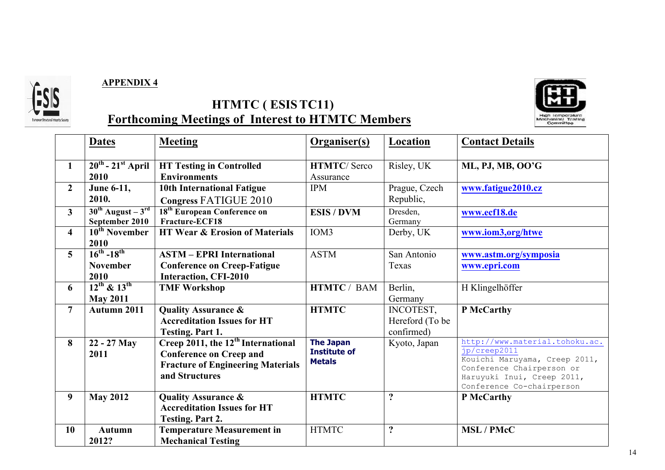

#### **APPENDIX 4**



## **HTMTC ( ESISTC11) Forthcoming Meetings of Interest to HTMTC Members**

|                         | <b>Dates</b>                              | <b>Meeting</b>                                 | <b>Organiser(s)</b> | Location            | <b>Contact Details</b>                        |
|-------------------------|-------------------------------------------|------------------------------------------------|---------------------|---------------------|-----------------------------------------------|
| $\mathbf{1}$            | $\overline{20^{th} - 21}^{st}$ April      | <b>HT Testing in Controlled</b>                | <b>HTMTC/Serco</b>  | Risley, UK          | ML, PJ, MB, OO'G                              |
|                         | 2010                                      | <b>Environments</b>                            | Assurance           |                     |                                               |
| $\overline{2}$          | June 6-11,                                | <b>10th International Fatigue</b>              | <b>IPM</b>          | Prague, Czech       | www.fatigue2010.cz                            |
|                         | 2010.                                     | Congress FATIGUE 2010                          |                     | Republic,           |                                               |
| $\mathbf{3}$            | $30^{\text{th}}$ August – $3^{\text{rd}}$ | 18 <sup>th</sup> European Conference on        | <b>ESIS/DVM</b>     | Dresden,            | www.ecf18.de                                  |
|                         | September 2010                            | Fracture-ECF18                                 |                     | Germany             |                                               |
| $\overline{\mathbf{4}}$ | 10 <sup>th</sup> November                 | <b>HT Wear &amp; Erosion of Materials</b>      | IOM3                | Derby, UK           | www.iom3,org/htwe                             |
|                         | 2010                                      |                                                |                     |                     |                                               |
| $\overline{5}$          | $16^{th} - 18^{th}$                       | <b>ASTM - EPRI International</b>               | <b>ASTM</b>         | San Antonio         | www.astm.org/symposia                         |
|                         | <b>November</b>                           | <b>Conference on Creep-Fatigue</b>             |                     | Texas               | www.epri.com                                  |
|                         | 2010                                      | <b>Interaction, CFI-2010</b>                   |                     |                     |                                               |
| 6                       | $12^{th}$ & $13^{th}$                     | <b>TMF Workshop</b>                            | <b>HTMTC / BAM</b>  | Berlin,             | H Klingelhöffer                               |
|                         | <b>May 2011</b>                           |                                                |                     | Germany             |                                               |
| $\overline{7}$          | Autumn 2011                               | <b>Quality Assurance &amp;</b>                 | <b>HTMTC</b>        | INCOTEST,           | P McCarthy                                    |
|                         |                                           | <b>Accreditation Issues for HT</b>             |                     | Hereford (To be     |                                               |
|                         |                                           | <b>Testing. Part 1.</b>                        |                     | confirmed)          |                                               |
| 8                       | 22 - 27 May                               | Creep 2011, the 12 <sup>th</sup> International | <b>The Japan</b>    | Kyoto, Japan        | http://www.material.tohoku.ac.                |
|                         | 2011                                      | <b>Conference on Creep and</b>                 | <b>Institute of</b> |                     | jp/creep2011<br>Kouichi Maruyama, Creep 2011, |
|                         |                                           | <b>Fracture of Engineering Materials</b>       | <b>Metals</b>       |                     | Conference Chairperson or                     |
|                         |                                           | and Structures                                 |                     |                     | Haruyuki Inui, Creep 2011,                    |
|                         |                                           |                                                |                     |                     | Conference Co-chairperson                     |
| 9 <sup>°</sup>          | <b>May 2012</b>                           | <b>Quality Assurance &amp;</b>                 | <b>HTMTC</b>        | $\ddot{ }$          | P McCarthy                                    |
|                         |                                           | <b>Accreditation Issues for HT</b>             |                     |                     |                                               |
|                         |                                           | <b>Testing. Part 2.</b>                        |                     |                     |                                               |
| <b>10</b>               | <b>Autumn</b>                             | <b>Temperature Measurement in</b>              | <b>HTMTC</b>        | $\ddot{\mathbf{c}}$ | <b>MSL / PMcC</b>                             |
|                         | 2012?                                     | <b>Mechanical Testing</b>                      |                     |                     |                                               |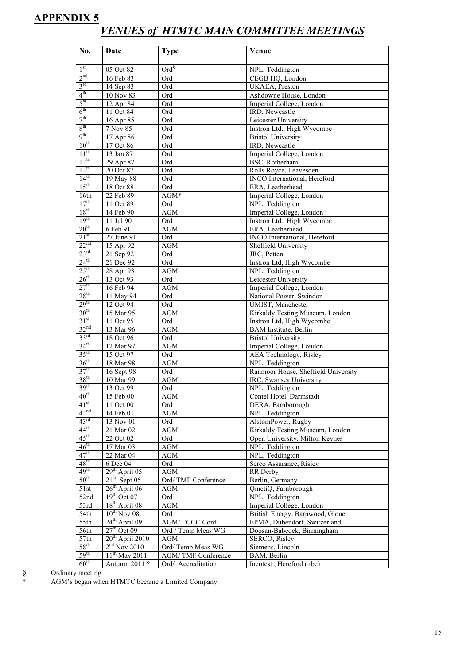#### **APPENDIX 5** *VENUES of HTMTC MAIN COMMITTEE MEETINGS*

| No.                                  | Date                        | <b>Type</b>        | Venue                                                          |
|--------------------------------------|-----------------------------|--------------------|----------------------------------------------------------------|
|                                      |                             |                    |                                                                |
| 1 <sup>st</sup>                      | 05 Oct 82                   | $Ord^{\S}$         | NPL, Teddington                                                |
| 2 <sup>nd</sup>                      | 16 Feb 83                   | Ord                | CEGB HQ, London                                                |
| $3^{rd}$                             | 14 Sep 83                   | Ord                | UKAEA, Preston                                                 |
| 4 <sup>th</sup>                      | 10 Nov 83                   | Ord                | Ashdowne House, London                                         |
| $5^{\text{th}}$                      | 12 Apr 84                   | Ord                | Imperial College, London                                       |
| 6 <sup>th</sup><br>7 <sup>th</sup>   | 11 Oct 84                   | Ord                | IRD, Newcastle                                                 |
| 8 <sup>th</sup>                      | 16 Apr 85                   | Ord                | Leicester University                                           |
| 9 <sup>th</sup>                      | 7 Nov 85                    | Ord                | Instron Ltd., High Wycombe                                     |
| 10 <sup>th</sup>                     | 17 Apr 86<br>17 Oct 86      | Ord<br>Ord         | <b>Bristol University</b><br>IRD, Newcastle                    |
| $11^{th}$                            | 13 Jan 87                   | Ord                | Imperial College, London                                       |
| $12^{th}$                            | 29 Apr 87                   | Ord                | BSC, Rotherham                                                 |
| 13 <sup>th</sup>                     | 20 Oct 87                   | Ord                | Rolls Royce, Leavesden                                         |
| 14 <sup>th</sup>                     | 19 May 88                   | Ord                | INCO International, Hereford                                   |
| 15 <sup>th</sup>                     | 18 Oct 88                   | Ord                | ERA, Leatherhead                                               |
| 16th                                 | 22 Feb 89                   | AGM*               | Imperial College, London                                       |
| 17 <sup>th</sup>                     | 11 Oct 89                   | Ord                | NPL, Teddington                                                |
| 18 <sup>th</sup>                     | 14 Feb 90                   | <b>AGM</b>         | Imperial College, London                                       |
| 19 <sup>th</sup>                     | 11 Jul 90                   | Ord                | Instron Ltd., High Wycombe                                     |
| 20 <sup>th</sup>                     | 6 Feb 91                    | AGM                | ERA, Leatherhead                                               |
| 21 <sup>st</sup>                     | 27 June 91                  | Ord                | INCO International, Hereford                                   |
| 22 <sup>nd</sup>                     | 15 Apr 92                   | <b>AGM</b>         | Sheffield University                                           |
| 23 <sup>rd</sup>                     | 21 Sep 92                   | Ord                | JRC, Petten                                                    |
| $24^{\text{th}}$                     | 21 Dec 92                   | Ord                | Instron Ltd, High Wycombe                                      |
| 25 <sup>th</sup>                     | 28 Apr 93                   | <b>AGM</b>         | NPL, Teddington                                                |
| 26 <sup>th</sup>                     | 13 Oct 93                   | Ord                | Leicester University                                           |
| 27 <sup>th</sup>                     | 16 Feb 94                   | <b>AGM</b>         | Imperial College, London                                       |
| 28 <sup>th</sup>                     | 11 May 94                   | Ord                | National Power, Swindon                                        |
| 29 <sup>th</sup>                     | 12 Oct 94                   | Ord                | UMIST, Manchester                                              |
| 30 <sup>th</sup>                     | 15 Mar 95                   | <b>AGM</b>         | Kirkaldy Testing Museum, London                                |
| 31 <sup>st</sup>                     | 11 Oct 95                   | Ord                | Instron Ltd, High Wycombe                                      |
| 32 <sup>nd</sup>                     | 13 Mar 96                   | <b>AGM</b>         | <b>BAM</b> Institute, Berlin                                   |
| 33 <sup>rd</sup><br>34 <sup>th</sup> | 18 Oct 96                   | Ord                | <b>Bristol University</b>                                      |
| $35^{\text{th}}$                     | 12 Mar 97                   | <b>AGM</b>         | Imperial College, London                                       |
| 36 <sup>th</sup>                     | 15 Oct 97                   | Ord                | AEA Technology, Risley                                         |
| 37 <sup>th</sup>                     | 18 Mar 98                   | <b>AGM</b>         | NPL, Teddington                                                |
| 38 <sup>th</sup>                     | 16 Sept 98<br>10 Mar 99     | Ord<br><b>AGM</b>  | Ranmoor House, Sheffield University<br>IRC, Swansea University |
| 39 <sup>th</sup>                     | 13 Oct 99                   | Ord                | NPL, Teddington                                                |
| 40 <sup>th</sup>                     | 15 Feb 00                   | AGM                | Contel Hotel, Darmstadt                                        |
| $41^{st}$                            | 11 Oct 00                   | Ord                | DERA, Farnborough                                              |
| 42 <sup>nd</sup>                     | 14 Feb 01                   | AGM                | NPL, Teddington                                                |
| 43 <sup>rd</sup>                     | 13 Nov 01                   | Ord                | AlstomPower, Rugby                                             |
| $44^{\text{th}}$                     | 21 Mar 02                   | AGM                | Kirkaldy Testing Museum, London                                |
| $45^{\text{th}}$                     | 22 Oct 02                   | Ord                | Open University, Milton Keynes                                 |
| $46^{\text{th}}$                     | 17 Mar 03                   | AGM                | NPL, Teddington                                                |
| $47^{\text{th}}$                     | 22 Mar 04                   | AGM                | NPL, Teddington                                                |
| $48^{\text{th}}$                     | 6 Dec 04                    | Ord                | Serco Assurance, Risley                                        |
| 49 <sup>th</sup>                     | $29th$ April 05             | <b>AGM</b>         | RR Derby                                                       |
| $50^{\text{th}}$                     | $21st$ Sept 05              | Ord/TMF Conference | Berlin, Germany                                                |
| 51st                                 | $26^{\text{th}}$ April 06   | AGM                | QinetiQ, Farnborough                                           |
| 52nd                                 | $19th$ Oct 07               | Ord                | NPL, Teddington                                                |
| 53rd                                 | 18 <sup>th</sup> April 08   | AGM                | Imperial College, London                                       |
| 54th                                 | $10^{th}$ Nov 08            | Ord                | British Energy, Barnwood, Glouc                                |
| 55th                                 | $24^{th}$ April 09          | AGM/ECCC Conf      | EPMA, Dubendorf, Switzerland                                   |
| 56th                                 | $27^{\text{th}}$ Oct 09     | Ord / Temp Meas WG | Doosan-Babcock, Birmingham                                     |
| 57th                                 | 20 <sup>th</sup> April 2010 | <b>AGM</b>         | SERCO, Risley                                                  |
| $58^{\text{th}}$                     | $2nd$ Nov 2010              | Ord/Temp Meas WG   | Siemens, Lincoln                                               |
| 59 <sup>th</sup>                     | $11^{th}$ May 2011          | AGM/TMF Conference | BAM, Berlin                                                    |
| $60^{\text{th}}$                     | Autumn 2011 ?               | Ord/ Accreditation | Incotest, Hereford (tbc)                                       |

 $\frac{1}{2}$  Ordinary meeting<br>\* AGM's began who

AGM's began when HTMTC became a Limited Company